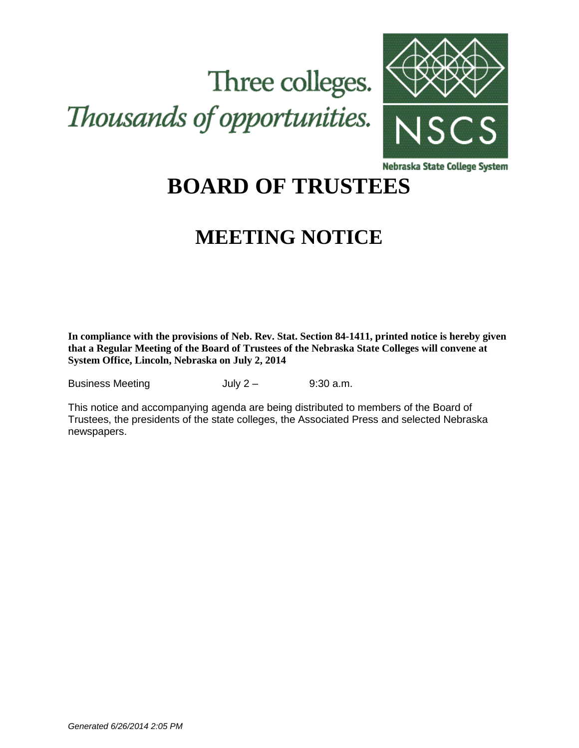# Three colleges. Thousands of opportunities.



Nebraska State College System

## **BOARD OF TRUSTEES**

## **MEETING NOTICE**

**In compliance with the provisions of Neb. Rev. Stat. Section 84-1411, printed notice is hereby given that a Regular Meeting of the Board of Trustees of the Nebraska State Colleges will convene at System Office, Lincoln, Nebraska on July 2, 2014**

Business Meeting **July 2** – 9:30 a.m.

This notice and accompanying agenda are being distributed to members of the Board of Trustees, the presidents of the state colleges, the Associated Press and selected Nebraska newspapers.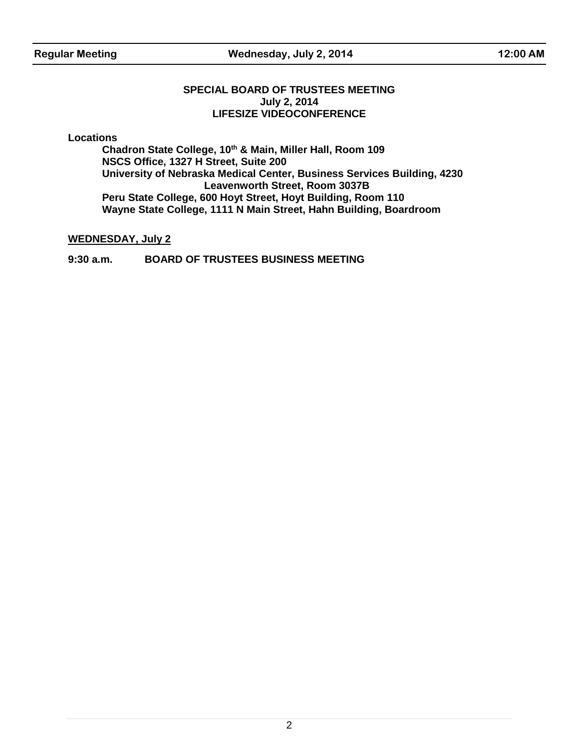**Regular Meeting Wednesday, July 2, 2014 12:00 AM**

#### **SPECIAL BOARD OF TRUSTEES MEETING July 2, 2014 LIFESIZE VIDEOCONFERENCE**

**Locations**

**Chadron State College, 10th & Main, Miller Hall, Room 109 NSCS Office, 1327 H Street, Suite 200 University of Nebraska Medical Center, Business Services Building, 4230 Leavenworth Street, Room 3037B Peru State College, 600 Hoyt Street, Hoyt Building, Room 110 Wayne State College, 1111 N Main Street, Hahn Building, Boardroom**

#### **WEDNESDAY, July 2**

#### **9:30 a.m. BOARD OF TRUSTEES BUSINESS MEETING**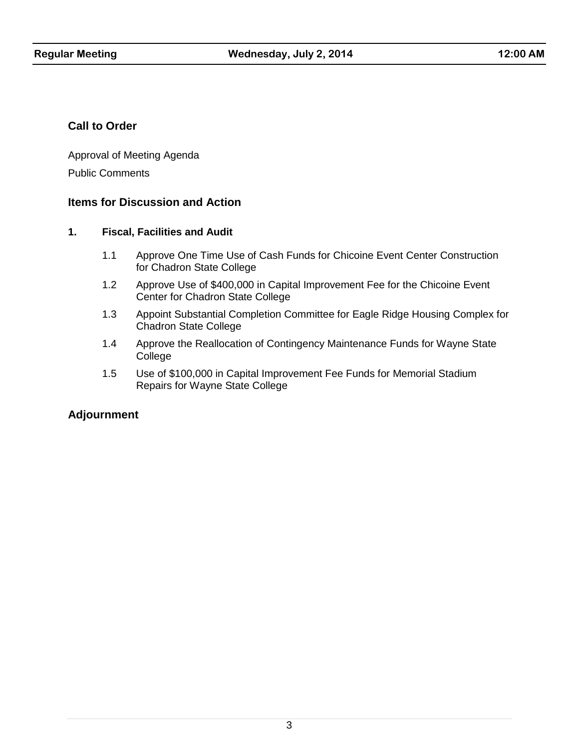#### **Call to Order**

Approval of Meeting Agenda Public Comments

#### **Items for Discussion and Action**

#### **1. Fiscal, Facilities and Audit**

- 1.1 Approve One Time Use of Cash Funds for Chicoine Event Center Construction for Chadron State College
- 1.2 Approve Use of \$400,000 in Capital Improvement Fee for the Chicoine Event Center for Chadron State College
- 1.3 Appoint Substantial Completion Committee for Eagle Ridge Housing Complex for Chadron State College
- 1.4 Approve the Reallocation of Contingency Maintenance Funds for Wayne State College
- 1.5 Use of \$100,000 in Capital Improvement Fee Funds for Memorial Stadium Repairs for Wayne State College

### **Adjournment**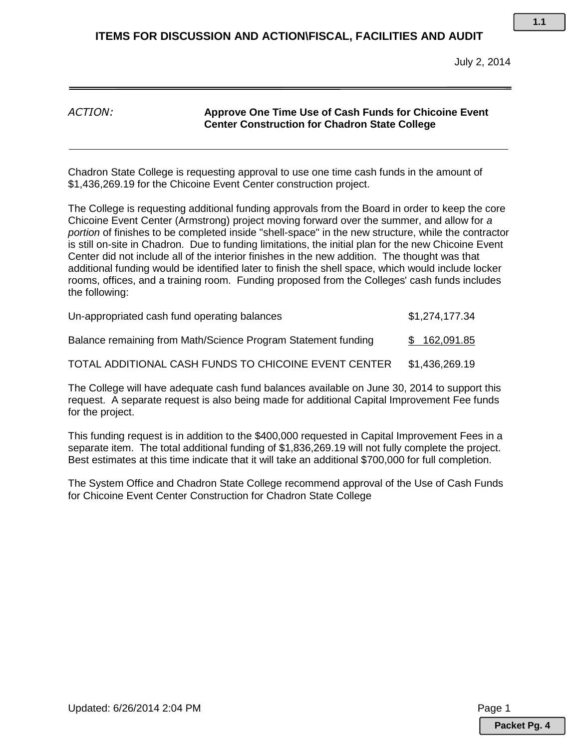#### *ACTION:* **Approve One Time Use of Cash Funds for Chicoine Event Center Construction for Chadron State College**

Chadron State College is requesting approval to use one time cash funds in the amount of \$1,436,269.19 for the Chicoine Event Center construction project.

The College is requesting additional funding approvals from the Board in order to keep the core Chicoine Event Center (Armstrong) project moving forward over the summer, and allow for *a portion* of finishes to be completed inside "shell-space" in the new structure, while the contractor is still on-site in Chadron. Due to funding limitations, the initial plan for the new Chicoine Event Center did not include all of the interior finishes in the new addition. The thought was that additional funding would be identified later to finish the shell space, which would include locker rooms, offices, and a training room. Funding proposed from the Colleges' cash funds includes the following:

| Un-appropriated cash fund operating balances                  | \$1,274,177.34 |
|---------------------------------------------------------------|----------------|
| Balance remaining from Math/Science Program Statement funding | \$162,091.85   |
| TOTAL ADDITIONAL CASH FUNDS TO CHICOINE EVENT CENTER          | \$1,436,269.19 |

The College will have adequate cash fund balances available on June 30, 2014 to support this request. A separate request is also being made for additional Capital Improvement Fee funds for the project.

This funding request is in addition to the \$400,000 requested in Capital Improvement Fees in a separate item. The total additional funding of \$1,836,269.19 will not fully complete the project. Best estimates at this time indicate that it will take an additional \$700,000 for full completion.

The System Office and Chadron State College recommend approval of the Use of Cash Funds for Chicoine Event Center Construction for Chadron State College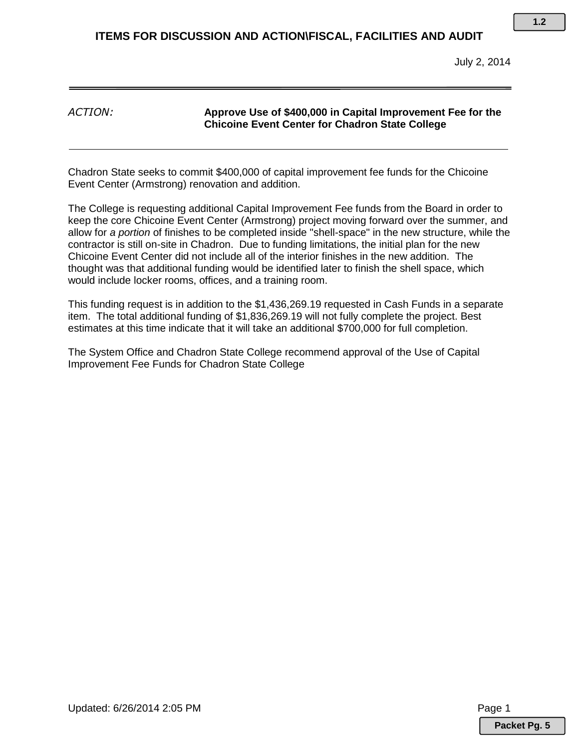*ACTION:* **Approve Use of \$400,000 in Capital Improvement Fee for the Chicoine Event Center for Chadron State College**

Chadron State seeks to commit \$400,000 of capital improvement fee funds for the Chicoine Event Center (Armstrong) renovation and addition.

The College is requesting additional Capital Improvement Fee funds from the Board in order to keep the core Chicoine Event Center (Armstrong) project moving forward over the summer, and allow for *a portion* of finishes to be completed inside "shell-space" in the new structure, while the contractor is still on-site in Chadron. Due to funding limitations, the initial plan for the new Chicoine Event Center did not include all of the interior finishes in the new addition. The thought was that additional funding would be identified later to finish the shell space, which would include locker rooms, offices, and a training room.

This funding request is in addition to the \$1,436,269.19 requested in Cash Funds in a separate item. The total additional funding of \$1,836,269.19 will not fully complete the project. Best estimates at this time indicate that it will take an additional \$700,000 for full completion.

The System Office and Chadron State College recommend approval of the Use of Capital Improvement Fee Funds for Chadron State College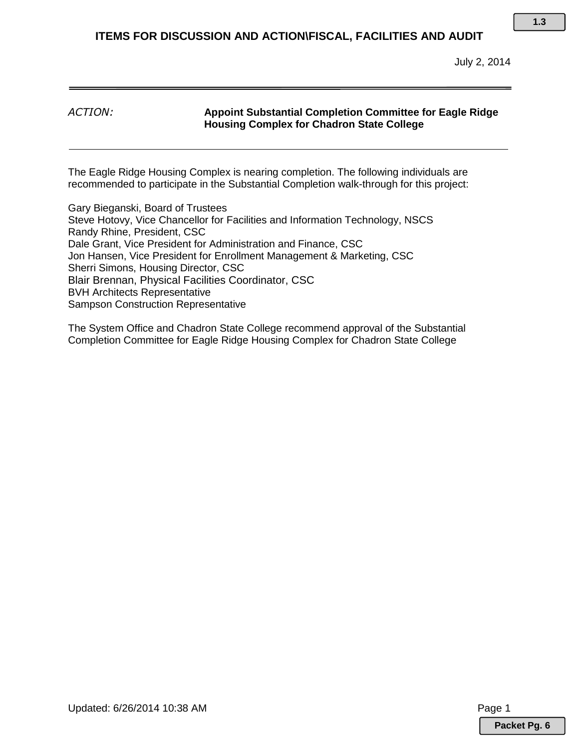July 2, 2014

#### *ACTION:* **Appoint Substantial Completion Committee for Eagle Ridge Housing Complex for Chadron State College**

The Eagle Ridge Housing Complex is nearing completion. The following individuals are recommended to participate in the Substantial Completion walk-through for this project:

Gary Bieganski, Board of Trustees Steve Hotovy, Vice Chancellor for Facilities and Information Technology, NSCS Randy Rhine, President, CSC Dale Grant, Vice President for Administration and Finance, CSC Jon Hansen, Vice President for Enrollment Management & Marketing, CSC Sherri Simons, Housing Director, CSC Blair Brennan, Physical Facilities Coordinator, CSC BVH Architects Representative Sampson Construction Representative

The System Office and Chadron State College recommend approval of the Substantial Completion Committee for Eagle Ridge Housing Complex for Chadron State College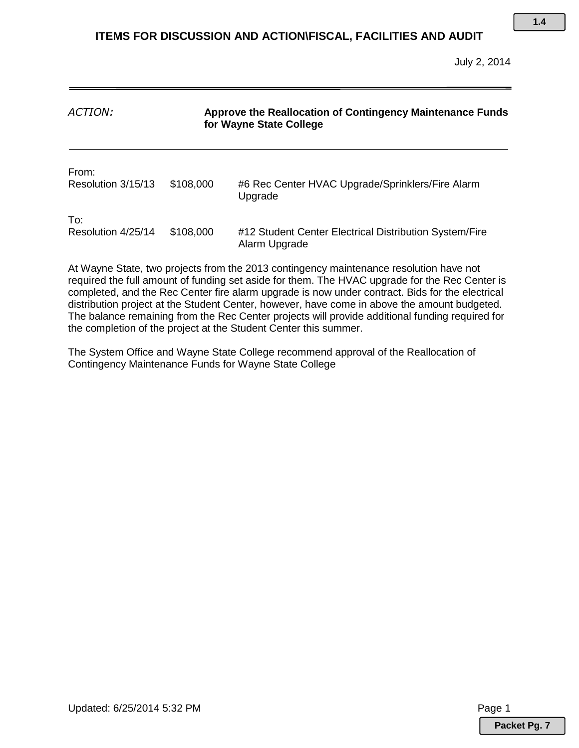| ACTION:                     | Approve the Reallocation of Contingency Maintenance Funds<br>for Wayne State College |                                                                         |
|-----------------------------|--------------------------------------------------------------------------------------|-------------------------------------------------------------------------|
| From:<br>Resolution 3/15/13 | \$108,000                                                                            | #6 Rec Center HVAC Upgrade/Sprinklers/Fire Alarm<br>Upgrade             |
| To:<br>Resolution 4/25/14   | \$108,000                                                                            | #12 Student Center Electrical Distribution System/Fire<br>Alarm Upgrade |

At Wayne State, two projects from the 2013 contingency maintenance resolution have not required the full amount of funding set aside for them. The HVAC upgrade for the Rec Center is completed, and the Rec Center fire alarm upgrade is now under contract. Bids for the electrical distribution project at the Student Center, however, have come in above the amount budgeted. The balance remaining from the Rec Center projects will provide additional funding required for the completion of the project at the Student Center this summer.

The System Office and Wayne State College recommend approval of the Reallocation of Contingency Maintenance Funds for Wayne State College